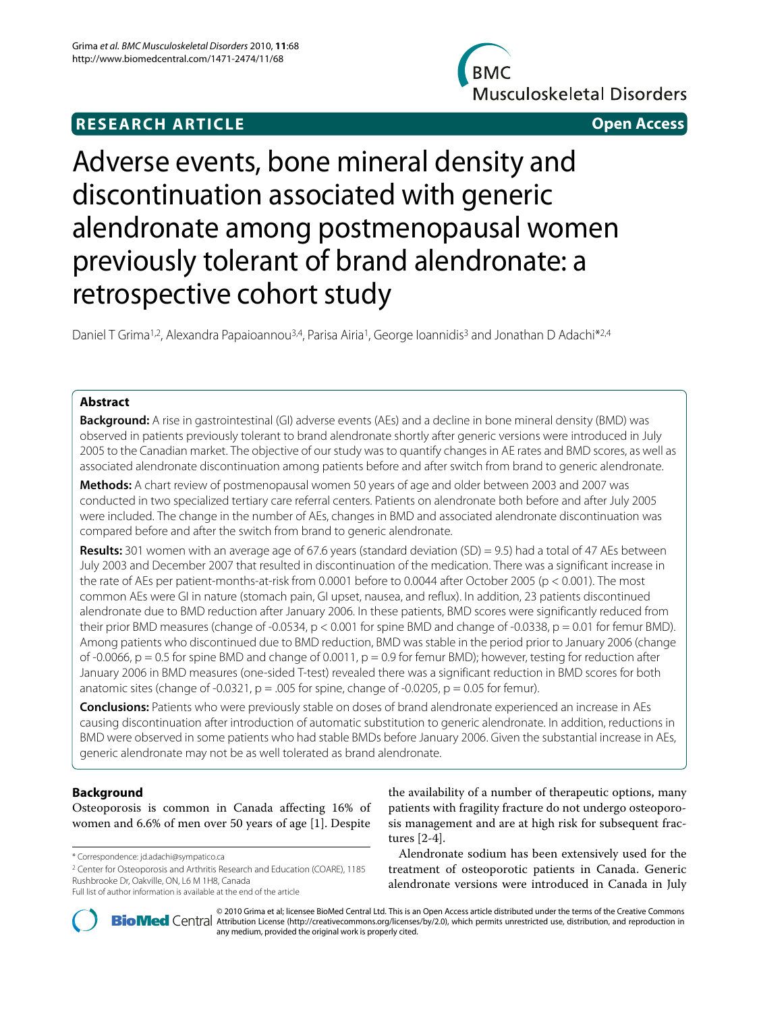# **RESEARCH ARTICLE Open Access**

**BMC Musculoskeletal Disorders** 



# Adverse events, bone mineral density and discontinuation associated with generic alendronate among postmenopausal women previously tolerant of brand alendronate: a retrospective cohort study

Daniel T Grima<sup>1,2</sup>, Alexandra Papaioannou<sup>3,4</sup>, Parisa Airia<sup>1</sup>, George Ioannidis<sup>3</sup> and Jonathan D Adachi<sup>\*2,4</sup>

# **Abstract**

**Background:** A rise in gastrointestinal (GI) adverse events (AEs) and a decline in bone mineral density (BMD) was observed in patients previously tolerant to brand alendronate shortly after generic versions were introduced in July 2005 to the Canadian market. The objective of our study was to quantify changes in AE rates and BMD scores, as well as associated alendronate discontinuation among patients before and after switch from brand to generic alendronate.

**Methods:** A chart review of postmenopausal women 50 years of age and older between 2003 and 2007 was conducted in two specialized tertiary care referral centers. Patients on alendronate both before and after July 2005 were included. The change in the number of AEs, changes in BMD and associated alendronate discontinuation was compared before and after the switch from brand to generic alendronate.

**Results:** 301 women with an average age of 67.6 years (standard deviation (SD) = 9.5) had a total of 47 AEs between July 2003 and December 2007 that resulted in discontinuation of the medication. There was a significant increase in the rate of AEs per patient-months-at-risk from 0.0001 before to 0.0044 after October 2005 (p < 0.001). The most common AEs were GI in nature (stomach pain, GI upset, nausea, and reflux). In addition, 23 patients discontinued alendronate due to BMD reduction after January 2006. In these patients, BMD scores were significantly reduced from their prior BMD measures (change of -0.0534,  $p < 0.001$  for spine BMD and change of -0.0338,  $p = 0.01$  for femur BMD). Among patients who discontinued due to BMD reduction, BMD was stable in the period prior to January 2006 (change of -0.0066,  $p = 0.5$  for spine BMD and change of 0.0011,  $p = 0.9$  for femur BMD); however, testing for reduction after January 2006 in BMD measures (one-sided T-test) revealed there was a significant reduction in BMD scores for both anatomic sites (change of -0.0321,  $p = .005$  for spine, change of -0.0205,  $p = 0.05$  for femur).

**Conclusions:** Patients who were previously stable on doses of brand alendronate experienced an increase in AEs causing discontinuation after introduction of automatic substitution to generic alendronate. In addition, reductions in BMD were observed in some patients who had stable BMDs before January 2006. Given the substantial increase in AEs, generic alendronate may not be as well tolerated as brand alendronate.

# **Background**

Osteoporosis is common in Canada affecting 16% of women and 6.6% of men over 50 years of age [\[1](#page-7-0)]. Despite

2 Center for Osteoporosis and Arthritis Research and Education (COARE), 1185 Rushbrooke Dr, Oakville, ON, L6 M 1H8, Canada

the availability of a number of therapeutic options, many patients with fragility fracture do not undergo osteoporosis management and are at high risk for subsequent fractures [[2-](#page-7-1)[4](#page-7-2)].

Alendronate sodium has been extensively used for the treatment of osteoporotic patients in Canada. Generic alendronate versions were introduced in Canada in July



2010 Grima et al; licensee [BioMed](http://www.biomedcentral.com/) Central Ltd. This is an Open Access article distributed under the terms of the Creative Commons (http://creativecommons.org/licenses/by/2.0), which permits unrestricted use, distribution, any medium, provided the original work is properly cited.

<sup>\*</sup> Correspondence: jd.adachi@sympatico.ca

Full list of author information is available at the end of the article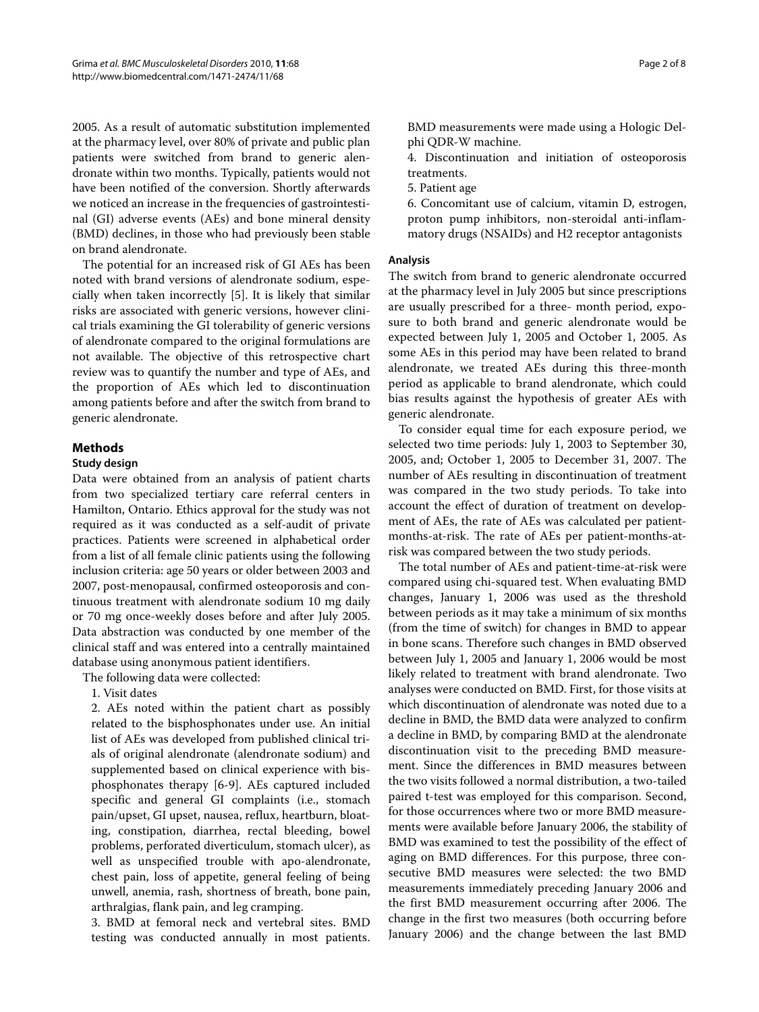2005. As a result of automatic substitution implemented at the pharmacy level, over 80% of private and public plan patients were switched from brand to generic alendronate within two months. Typically, patients would not have been notified of the conversion. Shortly afterwards we noticed an increase in the frequencies of gastrointestinal (GI) adverse events (AEs) and bone mineral density (BMD) declines, in those who had previously been stable on brand alendronate.

The potential for an increased risk of GI AEs has been noted with brand versions of alendronate sodium, especially when taken incorrectly [\[5](#page-7-3)]. It is likely that similar risks are associated with generic versions, however clinical trials examining the GI tolerability of generic versions of alendronate compared to the original formulations are not available. The objective of this retrospective chart review was to quantify the number and type of AEs, and the proportion of AEs which led to discontinuation among patients before and after the switch from brand to generic alendronate.

# **Methods**

#### **Study design**

Data were obtained from an analysis of patient charts from two specialized tertiary care referral centers in Hamilton, Ontario. Ethics approval for the study was not required as it was conducted as a self-audit of private practices. Patients were screened in alphabetical order from a list of all female clinic patients using the following inclusion criteria: age 50 years or older between 2003 and 2007, post-menopausal, confirmed osteoporosis and continuous treatment with alendronate sodium 10 mg daily or 70 mg once-weekly doses before and after July 2005. Data abstraction was conducted by one member of the clinical staff and was entered into a centrally maintained database using anonymous patient identifiers.

The following data were collected:

1. Visit dates

2. AEs noted within the patient chart as possibly related to the bisphosphonates under use. An initial list of AEs was developed from published clinical trials of original alendronate (alendronate sodium) and supplemented based on clinical experience with bisphosphonates therapy [[6-](#page-7-4)[9](#page-7-5)]. AEs captured included specific and general GI complaints (i.e., stomach pain/upset, GI upset, nausea, reflux, heartburn, bloating, constipation, diarrhea, rectal bleeding, bowel problems, perforated diverticulum, stomach ulcer), as well as unspecified trouble with apo-alendronate, chest pain, loss of appetite, general feeling of being unwell, anemia, rash, shortness of breath, bone pain, arthralgias, flank pain, and leg cramping.

3. BMD at femoral neck and vertebral sites. BMD testing was conducted annually in most patients.

BMD measurements were made using a Hologic Delphi QDR-W machine.

4. Discontinuation and initiation of osteoporosis treatments.

- 5. Patient age
- 6. Concomitant use of calcium, vitamin D, estrogen, proton pump inhibitors, non-steroidal anti-inflammatory drugs (NSAIDs) and H2 receptor antagonists

#### **Analysis**

The switch from brand to generic alendronate occurred at the pharmacy level in July 2005 but since prescriptions are usually prescribed for a three- month period, exposure to both brand and generic alendronate would be expected between July 1, 2005 and October 1, 2005. As some AEs in this period may have been related to brand alendronate, we treated AEs during this three-month period as applicable to brand alendronate, which could bias results against the hypothesis of greater AEs with generic alendronate.

To consider equal time for each exposure period, we selected two time periods: July 1, 2003 to September 30, 2005, and; October 1, 2005 to December 31, 2007. The number of AEs resulting in discontinuation of treatment was compared in the two study periods. To take into account the effect of duration of treatment on development of AEs, the rate of AEs was calculated per patientmonths-at-risk. The rate of AEs per patient-months-atrisk was compared between the two study periods.

The total number of AEs and patient-time-at-risk were compared using chi-squared test. When evaluating BMD changes, January 1, 2006 was used as the threshold between periods as it may take a minimum of six months (from the time of switch) for changes in BMD to appear in bone scans. Therefore such changes in BMD observed between July 1, 2005 and January 1, 2006 would be most likely related to treatment with brand alendronate. Two analyses were conducted on BMD. First, for those visits at which discontinuation of alendronate was noted due to a decline in BMD, the BMD data were analyzed to confirm a decline in BMD, by comparing BMD at the alendronate discontinuation visit to the preceding BMD measurement. Since the differences in BMD measures between the two visits followed a normal distribution, a two-tailed paired t-test was employed for this comparison. Second, for those occurrences where two or more BMD measurements were available before January 2006, the stability of BMD was examined to test the possibility of the effect of aging on BMD differences. For this purpose, three consecutive BMD measures were selected: the two BMD measurements immediately preceding January 2006 and the first BMD measurement occurring after 2006. The change in the first two measures (both occurring before January 2006) and the change between the last BMD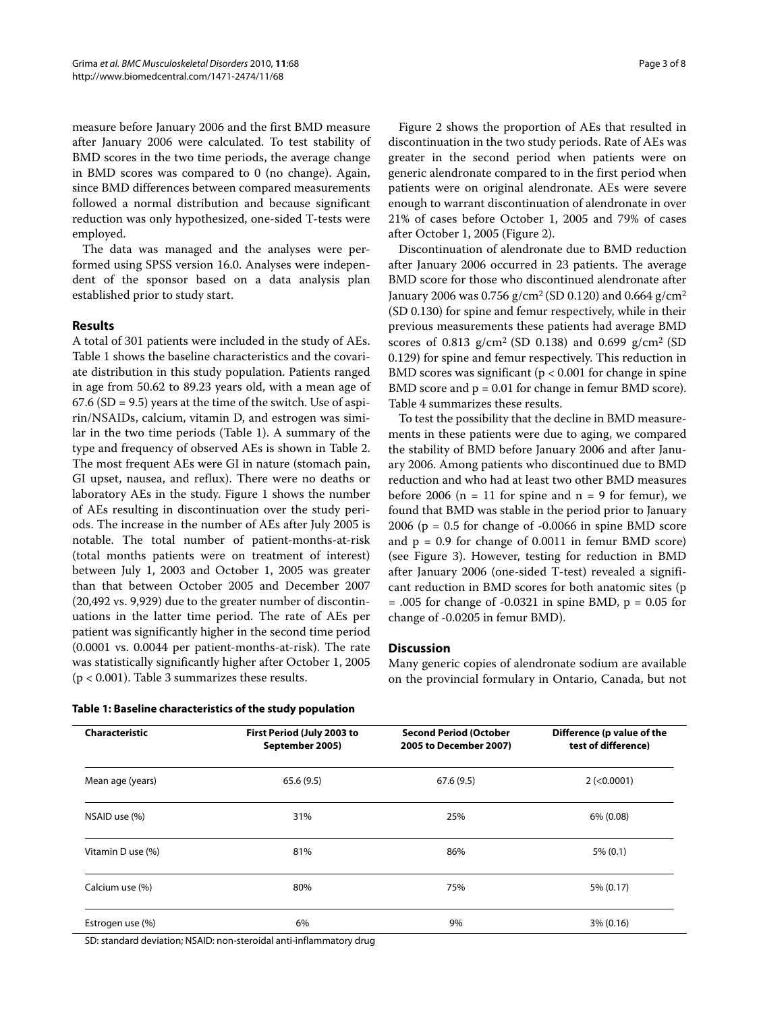measure before January 2006 and the first BMD measure after January 2006 were calculated. To test stability of BMD scores in the two time periods, the average change in BMD scores was compared to 0 (no change). Again, since BMD differences between compared measurements followed a normal distribution and because significant reduction was only hypothesized, one-sided T-tests were employed.

The data was managed and the analyses were performed using SPSS version 16.0. Analyses were independent of the sponsor based on a data analysis plan established prior to study start.

# **Results**

A total of 301 patients were included in the study of AEs. Table 1 shows the baseline characteristics and the covariate distribution in this study population. Patients ranged in age from 50.62 to 89.23 years old, with a mean age of  $67.6$  (SD = 9.5) years at the time of the switch. Use of aspirin/NSAIDs, calcium, vitamin D, and estrogen was similar in the two time periods (Table 1). A summary of the type and frequency of observed AEs is shown in Table [2](#page-3-0). The most frequent AEs were GI in nature (stomach pain, GI upset, nausea, and reflux). There were no deaths or laboratory AEs in the study. Figure [1](#page-5-0) shows the number of AEs resulting in discontinuation over the study periods. The increase in the number of AEs after July 2005 is notable. The total number of patient-months-at-risk (total months patients were on treatment of interest) between July 1, 2003 and October 1, 2005 was greater than that between October 2005 and December 2007 (20,492 vs. 9,929) due to the greater number of discontinuations in the latter time period. The rate of AEs per patient was significantly higher in the second time period (0.0001 vs. 0.0044 per patient-months-at-risk). The rate was statistically significantly higher after October 1, 2005 (p < 0.001). Table 3 summarizes these results.

Figure [2](#page-5-1) shows the proportion of AEs that resulted in discontinuation in the two study periods. Rate of AEs was greater in the second period when patients were on generic alendronate compared to in the first period when patients were on original alendronate. AEs were severe enough to warrant discontinuation of alendronate in over 21% of cases before October 1, 2005 and 79% of cases after October 1, 2005 (Figure [2](#page-5-1)).

Discontinuation of alendronate due to BMD reduction after January 2006 occurred in 23 patients. The average BMD score for those who discontinued alendronate after January 2006 was 0.756 g/cm<sup>2</sup> (SD 0.120) and 0.664 g/cm<sup>2</sup> (SD 0.130) for spine and femur respectively, while in their previous measurements these patients had average BMD scores of 0.813  $g/cm^2$  (SD 0.138) and 0.699  $g/cm^2$  (SD 0.129) for spine and femur respectively. This reduction in BMD scores was significant ( $p < 0.001$  for change in spine BMD score and p = 0.01 for change in femur BMD score). Table 4 summarizes these results.

To test the possibility that the decline in BMD measurements in these patients were due to aging, we compared the stability of BMD before January 2006 and after January 2006. Among patients who discontinued due to BMD reduction and who had at least two other BMD measures before 2006 ( $n = 11$  for spine and  $n = 9$  for femur), we found that BMD was stable in the period prior to January 2006 ( $p = 0.5$  for change of -0.0066 in spine BMD score and  $p = 0.9$  for change of 0.0011 in femur BMD score) (see Figure [3\)](#page-6-0). However, testing for reduction in BMD after January 2006 (one-sided T-test) revealed a significant reduction in BMD scores for both anatomic sites (p = .005 for change of -0.0321 in spine BMD, p = 0.05 for change of -0.0205 in femur BMD).

# **Discussion**

Many generic copies of alendronate sodium are available on the provincial formulary in Ontario, Canada, but not

| Table 1: Baseline characteristics of the study population |  |  |  |  |  |  |  |  |  |  |
|-----------------------------------------------------------|--|--|--|--|--|--|--|--|--|--|
|-----------------------------------------------------------|--|--|--|--|--|--|--|--|--|--|

| Characteristic    | First Period (July 2003 to<br>September 2005) | <b>Second Period (October</b><br>2005 to December 2007) | Difference (p value of the<br>test of difference) |
|-------------------|-----------------------------------------------|---------------------------------------------------------|---------------------------------------------------|
| Mean age (years)  | 65.6(9.5)                                     | 67.6(9.5)                                               | $2$ (<0.0001)                                     |
| NSAID use (%)     | 31%                                           | 25%                                                     | 6% (0.08)                                         |
| Vitamin D use (%) | 81%                                           | 86%                                                     | $5\% (0.1)$                                       |
| Calcium use (%)   | 80%                                           | 75%                                                     | 5% (0.17)                                         |
| Estrogen use (%)  | 6%                                            | 9%                                                      | $3\% (0.16)$                                      |

SD: standard deviation; NSAID: non-steroidal anti-inflammatory drug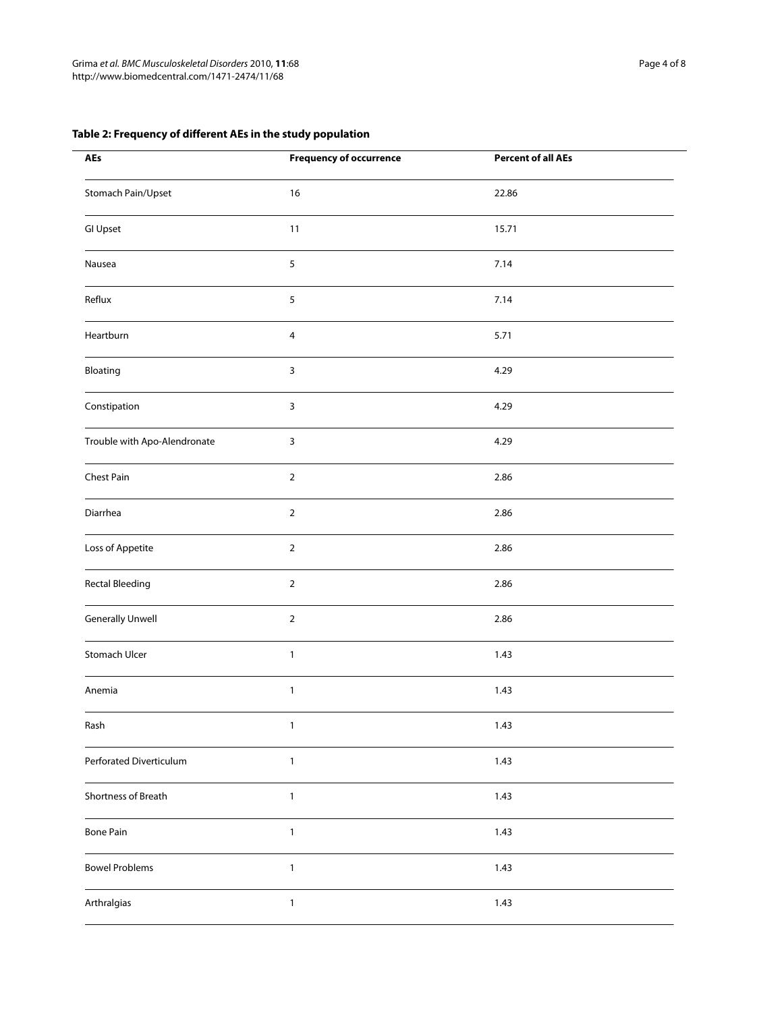# <span id="page-3-0"></span>**Table 2: Frequency of different AEs in the study population**

| <b>AEs</b>                   | <b>Frequency of occurrence</b> | <b>Percent of all AEs</b> |  |
|------------------------------|--------------------------------|---------------------------|--|
| Stomach Pain/Upset           | $16$                           | 22.86                     |  |
| <b>GI Upset</b>              | 11                             | 15.71                     |  |
| Nausea                       | 5                              | 7.14                      |  |
| Reflux                       | 5                              | 7.14                      |  |
| Heartburn                    | $\overline{4}$                 | 5.71                      |  |
| Bloating                     | 3                              | 4.29                      |  |
| Constipation                 | 3                              | 4.29                      |  |
| Trouble with Apo-Alendronate | 3                              | 4.29                      |  |
| Chest Pain                   | $\overline{2}$                 | 2.86                      |  |
| Diarrhea                     | $\overline{2}$                 | 2.86                      |  |
| Loss of Appetite             | $\overline{2}$                 | 2.86                      |  |
| <b>Rectal Bleeding</b>       | $\overline{2}$                 | 2.86                      |  |
| <b>Generally Unwell</b>      | $\overline{2}$                 | 2.86                      |  |
| Stomach Ulcer                | $\mathbf{1}$                   | 1.43                      |  |
| Anemia                       | $\mathbf{1}$                   | 1.43                      |  |
| Rash                         | $\mathbf{1}$                   | 1.43                      |  |
| Perforated Diverticulum      | $\mathbf{1}$                   | 1.43                      |  |
| Shortness of Breath          | $\mathbf{1}$                   | 1.43                      |  |
| <b>Bone Pain</b>             | $\mathbf{1}$                   | 1.43                      |  |
| <b>Bowel Problems</b>        | $\mathbf{1}$                   | 1.43                      |  |
| Arthralgias                  | $\mathbf{1}$                   | 1.43                      |  |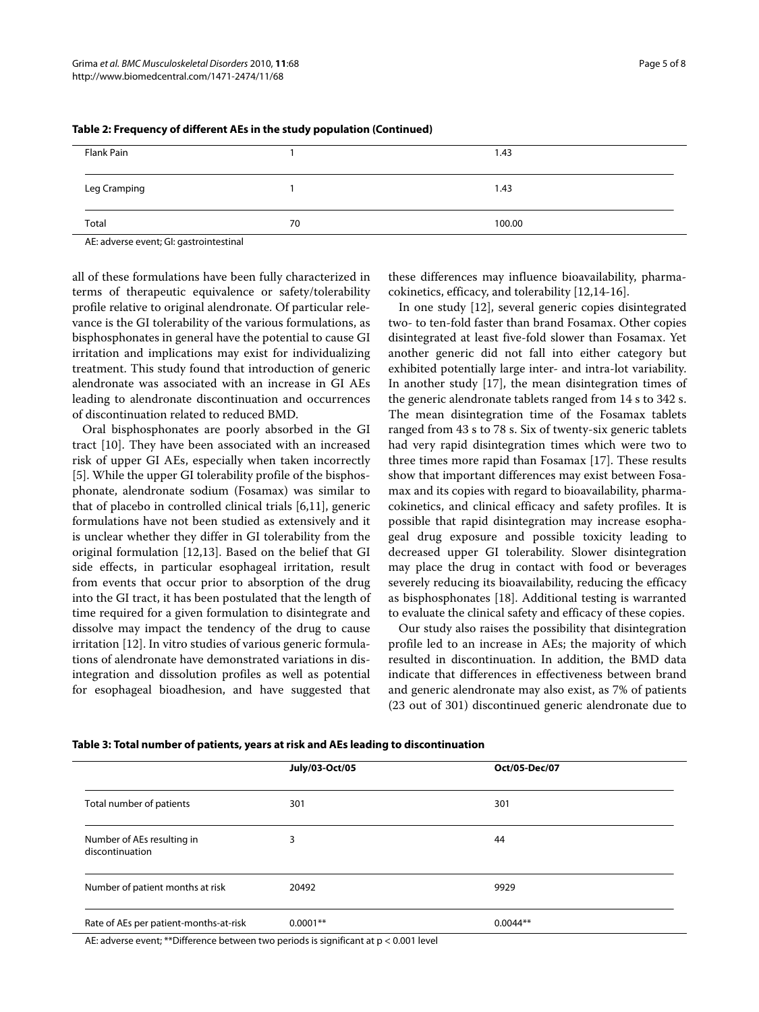| Flank Pain   |    | 1.43   |
|--------------|----|--------|
|              |    |        |
| Leg Cramping |    | 1.43   |
|              |    |        |
| Total        | 70 | 100.00 |
| $\mathbf{r}$ |    |        |

**Table 2: Frequency of different AEs in the study population (Continued)**

AE: adverse event; GI: gastrointestinal

all of these formulations have been fully characterized in terms of therapeutic equivalence or safety/tolerability profile relative to original alendronate. Of particular relevance is the GI tolerability of the various formulations, as bisphosphonates in general have the potential to cause GI irritation and implications may exist for individualizing treatment. This study found that introduction of generic alendronate was associated with an increase in GI AEs leading to alendronate discontinuation and occurrences of discontinuation related to reduced BMD.

Oral bisphosphonates are poorly absorbed in the GI tract [\[10](#page-7-6)]. They have been associated with an increased risk of upper GI AEs, especially when taken incorrectly [[5\]](#page-7-3). While the upper GI tolerability profile of the bisphosphonate, alendronate sodium (Fosamax) was similar to that of placebo in controlled clinical trials [\[6](#page-7-4),[11](#page-7-7)], generic formulations have not been studied as extensively and it is unclear whether they differ in GI tolerability from the original formulation [[12](#page-7-8),[13\]](#page-7-9). Based on the belief that GI side effects, in particular esophageal irritation, result from events that occur prior to absorption of the drug into the GI tract, it has been postulated that the length of time required for a given formulation to disintegrate and dissolve may impact the tendency of the drug to cause irritation [\[12](#page-7-8)]. In vitro studies of various generic formulations of alendronate have demonstrated variations in disintegration and dissolution profiles as well as potential for esophageal bioadhesion, and have suggested that

these differences may influence bioavailability, pharmacokinetics, efficacy, and tolerability [\[12](#page-7-8)[,14](#page-7-10)-[16\]](#page-7-11).

In one study [\[12](#page-7-8)], several generic copies disintegrated two- to ten-fold faster than brand Fosamax. Other copies disintegrated at least five-fold slower than Fosamax. Yet another generic did not fall into either category but exhibited potentially large inter- and intra-lot variability. In another study [[17\]](#page-7-12), the mean disintegration times of the generic alendronate tablets ranged from 14 s to 342 s. The mean disintegration time of the Fosamax tablets ranged from 43 s to 78 s. Six of twenty-six generic tablets had very rapid disintegration times which were two to three times more rapid than Fosamax [[17\]](#page-7-12). These results show that important differences may exist between Fosamax and its copies with regard to bioavailability, pharmacokinetics, and clinical efficacy and safety profiles. It is possible that rapid disintegration may increase esophageal drug exposure and possible toxicity leading to decreased upper GI tolerability. Slower disintegration may place the drug in contact with food or beverages severely reducing its bioavailability, reducing the efficacy as bisphosphonates [\[18\]](#page-7-13). Additional testing is warranted to evaluate the clinical safety and efficacy of these copies.

Our study also raises the possibility that disintegration profile led to an increase in AEs; the majority of which resulted in discontinuation. In addition, the BMD data indicate that differences in effectiveness between brand and generic alendronate may also exist, as 7% of patients (23 out of 301) discontinued generic alendronate due to

|                                               | July/03-Oct/05 | Oct/05-Dec/07 |  |
|-----------------------------------------------|----------------|---------------|--|
| Total number of patients                      | 301            | 301           |  |
| Number of AEs resulting in<br>discontinuation | 3              | 44            |  |
| Number of patient months at risk              | 20492          | 9929          |  |
| Rate of AEs per patient-months-at-risk        | $0.0001**$     | $0.0044**$    |  |

**Table 3: Total number of patients, years at risk and AEs leading to discontinuation**

AE: adverse event; \*\*Difference between two periods is significant at p < 0.001 level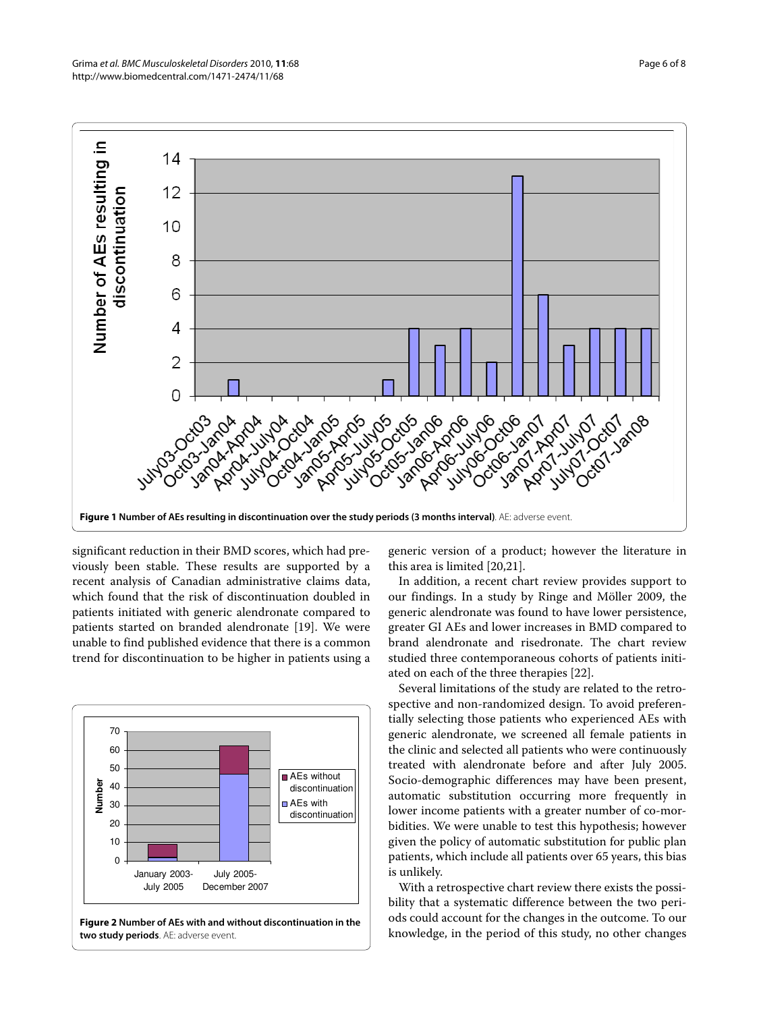<span id="page-5-0"></span>

significant reduction in their BMD scores, which had previously been stable. These results are supported by a recent analysis of Canadian administrative claims data, which found that the risk of discontinuation doubled in patients initiated with generic alendronate compared to patients started on branded alendronate [[19\]](#page-7-14). We were unable to find published evidence that there is a common trend for discontinuation to be higher in patients using a

<span id="page-5-1"></span>

**Figure 2 Number of AEs with and without discontinuation in the two study periods**. AE: adverse event.

generic version of a product; however the literature in this area is limited [[20,](#page-7-15)[21\]](#page-7-16).

In addition, a recent chart review provides support to our findings. In a study by Ringe and Möller 2009, the generic alendronate was found to have lower persistence, greater GI AEs and lower increases in BMD compared to brand alendronate and risedronate. The chart review studied three contemporaneous cohorts of patients initiated on each of the three therapies [[22](#page-7-17)].

Several limitations of the study are related to the retrospective and non-randomized design. To avoid preferentially selecting those patients who experienced AEs with generic alendronate, we screened all female patients in the clinic and selected all patients who were continuously treated with alendronate before and after July 2005. Socio-demographic differences may have been present, automatic substitution occurring more frequently in lower income patients with a greater number of co-morbidities. We were unable to test this hypothesis; however given the policy of automatic substitution for public plan patients, which include all patients over 65 years, this bias is unlikely.

With a retrospective chart review there exists the possibility that a systematic difference between the two periods could account for the changes in the outcome. To our knowledge, in the period of this study, no other changes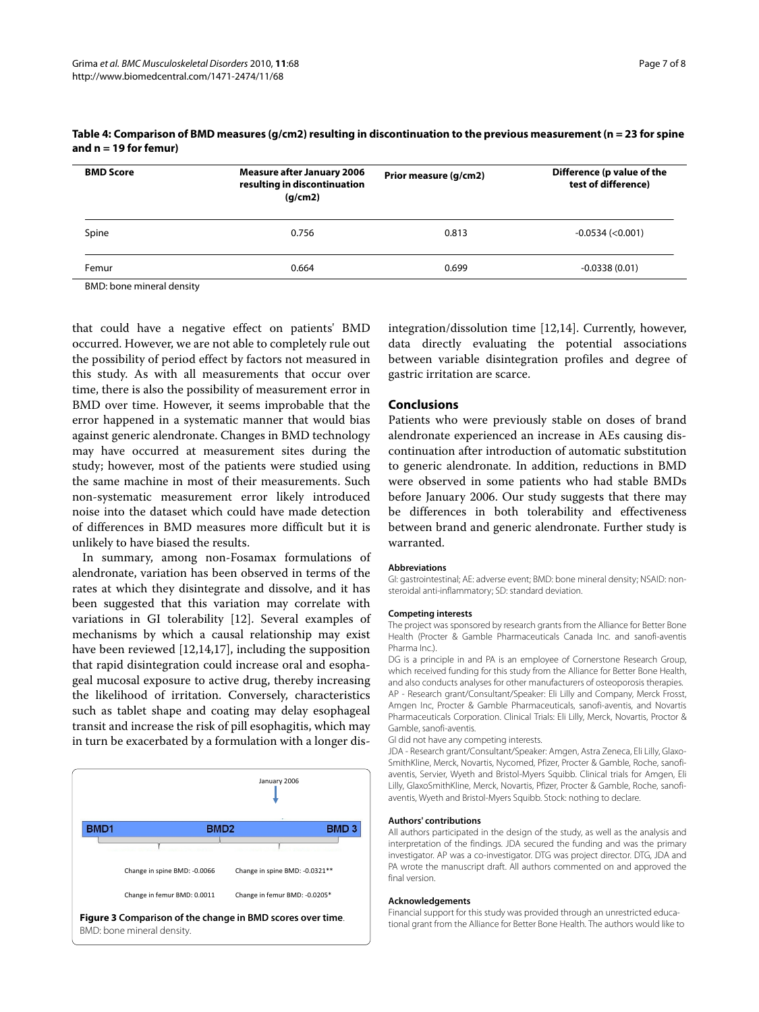| <b>BMD Score</b>          | <b>Measure after January 2006</b><br>resulting in discontinuation<br>(g/cm2) | Prior measure (g/cm2) | Difference (p value of the<br>test of difference) |
|---------------------------|------------------------------------------------------------------------------|-----------------------|---------------------------------------------------|
| Spine                     | 0.756                                                                        | 0.813                 | $-0.0534$ ( $< 0.001$ )                           |
| Femur                     | 0.664                                                                        | 0.699                 | $-0.0338(0.01)$                                   |
| RMD; hono minoral doncity |                                                                              |                       |                                                   |

#### **Table 4: Comparison of BMD measures (g/cm2) resulting in discontinuation to the previous measurement (n = 23 for spine and n = 19 for femur)**

BMD: bone mineral density

that could have a negative effect on patients' BMD occurred. However, we are not able to completely rule out the possibility of period effect by factors not measured in this study. As with all measurements that occur over time, there is also the possibility of measurement error in BMD over time. However, it seems improbable that the error happened in a systematic manner that would bias against generic alendronate. Changes in BMD technology may have occurred at measurement sites during the study; however, most of the patients were studied using the same machine in most of their measurements. Such non-systematic measurement error likely introduced noise into the dataset which could have made detection of differences in BMD measures more difficult but it is unlikely to have biased the results.

In summary, among non-Fosamax formulations of alendronate, variation has been observed in terms of the rates at which they disintegrate and dissolve, and it has been suggested that this variation may correlate with variations in GI tolerability [[12\]](#page-7-8). Several examples of mechanisms by which a causal relationship may exist have been reviewed [[12](#page-7-8),[14](#page-7-10),[17\]](#page-7-12), including the supposition that rapid disintegration could increase oral and esophageal mucosal exposure to active drug, thereby increasing the likelihood of irritation. Conversely, characteristics such as tablet shape and coating may delay esophageal transit and increase the risk of pill esophagitis, which may in turn be exacerbated by a formulation with a longer dis-

<span id="page-6-0"></span>

integration/dissolution time [[12,](#page-7-8)[14\]](#page-7-10). Currently, however, data directly evaluating the potential associations between variable disintegration profiles and degree of gastric irritation are scarce.

## **Conclusions**

Patients who were previously stable on doses of brand alendronate experienced an increase in AEs causing discontinuation after introduction of automatic substitution to generic alendronate. In addition, reductions in BMD were observed in some patients who had stable BMDs before January 2006. Our study suggests that there may be differences in both tolerability and effectiveness between brand and generic alendronate. Further study is warranted.

#### **Abbreviations**

GI: gastrointestinal; AE: adverse event; BMD: bone mineral density; NSAID: nonsteroidal anti-inflammatory; SD: standard deviation.

#### **Competing interests**

The project was sponsored by research grants from the Alliance for Better Bone Health (Procter & Gamble Pharmaceuticals Canada Inc. and sanofi-aventis Pharma Inc.).

DG is a principle in and PA is an employee of Cornerstone Research Group, which received funding for this study from the Alliance for Better Bone Health, and also conducts analyses for other manufacturers of osteoporosis therapies. AP - Research grant/Consultant/Speaker: Eli Lilly and Company, Merck Frosst, Amgen Inc, Procter & Gamble Pharmaceuticals, sanofi-aventis, and Novartis Pharmaceuticals Corporation. Clinical Trials: Eli Lilly, Merck, Novartis, Proctor & Gamble, sanofi-aventis.

GI did not have any competing interests.

JDA - Research grant/Consultant/Speaker: Amgen, Astra Zeneca, Eli Lilly, Glaxo-SmithKline, Merck, Novartis, Nycomed, Pfizer, Procter & Gamble, Roche, sanofiaventis, Servier, Wyeth and Bristol-Myers Squibb. Clinical trials for Amgen, Eli Lilly, GlaxoSmithKline, Merck, Novartis, Pfizer, Procter & Gamble, Roche, sanofiaventis, Wyeth and Bristol-Myers Squibb. Stock: nothing to declare.

#### **Authors' contributions**

All authors participated in the design of the study, as well as the analysis and interpretation of the findings. JDA secured the funding and was the primary investigator. AP was a co-investigator. DTG was project director. DTG, JDA and PA wrote the manuscript draft. All authors commented on and approved the final version.

#### **Acknowledgements**

Financial support for this study was provided through an unrestricted educational grant from the Alliance for Better Bone Health. The authors would like to